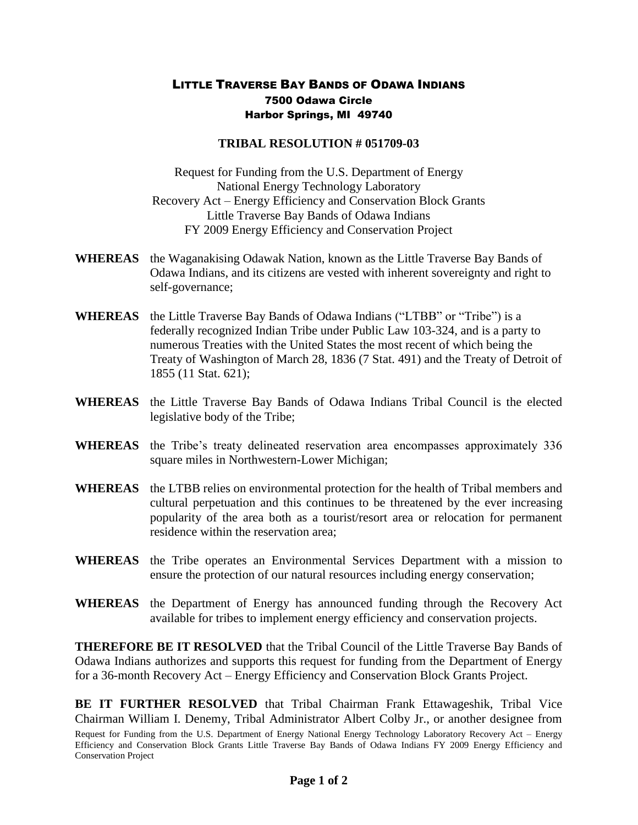## LITTLE TRAVERSE BAY BANDS OF ODAWA INDIANS 7500 Odawa Circle Harbor Springs, MI 49740

## **TRIBAL RESOLUTION # 051709-03**

Request for Funding from the U.S. Department of Energy National Energy Technology Laboratory Recovery Act – Energy Efficiency and Conservation Block Grants Little Traverse Bay Bands of Odawa Indians FY 2009 Energy Efficiency and Conservation Project

- **WHEREAS** the Waganakising Odawak Nation, known as the Little Traverse Bay Bands of Odawa Indians, and its citizens are vested with inherent sovereignty and right to self-governance;
- **WHEREAS** the Little Traverse Bay Bands of Odawa Indians ("LTBB" or "Tribe") is a federally recognized Indian Tribe under Public Law 103-324, and is a party to numerous Treaties with the United States the most recent of which being the Treaty of Washington of March 28, 1836 (7 Stat. 491) and the Treaty of Detroit of 1855 (11 Stat. 621);
- **WHEREAS** the Little Traverse Bay Bands of Odawa Indians Tribal Council is the elected legislative body of the Tribe;
- **WHEREAS** the Tribe's treaty delineated reservation area encompasses approximately 336 square miles in Northwestern-Lower Michigan;
- **WHEREAS** the LTBB relies on environmental protection for the health of Tribal members and cultural perpetuation and this continues to be threatened by the ever increasing popularity of the area both as a tourist/resort area or relocation for permanent residence within the reservation area;
- **WHEREAS** the Tribe operates an Environmental Services Department with a mission to ensure the protection of our natural resources including energy conservation;
- **WHEREAS** the Department of Energy has announced funding through the Recovery Act available for tribes to implement energy efficiency and conservation projects.

**THEREFORE BE IT RESOLVED** that the Tribal Council of the Little Traverse Bay Bands of Odawa Indians authorizes and supports this request for funding from the Department of Energy for a 36-month Recovery Act – Energy Efficiency and Conservation Block Grants Project.

Request for Funding from the U.S. Department of Energy National Energy Technology Laboratory Recovery Act – Energy Efficiency and Conservation Block Grants Little Traverse Bay Bands of Odawa Indians FY 2009 Energy Efficiency and **BE IT FURTHER RESOLVED** that Tribal Chairman Frank Ettawageshik, Tribal Vice Chairman William I. Denemy, Tribal Administrator Albert Colby Jr., or another designee from

Conservation Project